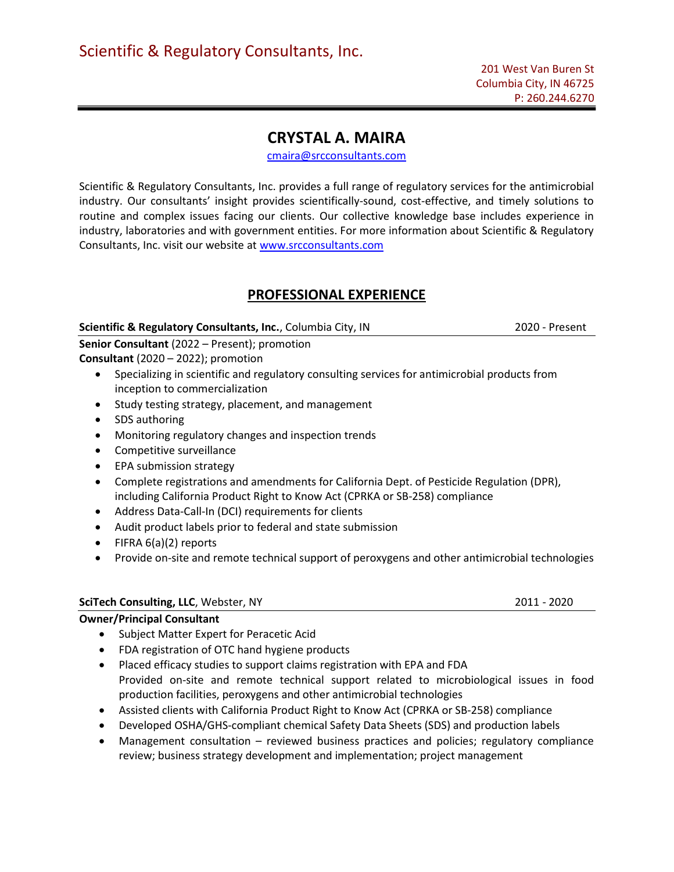# CRYSTAL A. MAIRA

cmaira@srcconsultants.com

Scientific & Regulatory Consultants, Inc. provides a full range of regulatory services for the antimicrobial industry. Our consultants' insight provides scientifically-sound, cost-effective, and timely solutions to routine and complex issues facing our clients. Our collective knowledge base includes experience in industry, laboratories and with government entities. For more information about Scientific & Regulatory Consultants, Inc. visit our website at www.srcconsultants.com

# PROFESSIONAL EXPERIENCE

Scientific & Regulatory Consultants, Inc., Columbia City, IN 2020 - Present

Senior Consultant (2022 – Present); promotion Consultant (2020 – 2022); promotion

- Specializing in scientific and regulatory consulting services for antimicrobial products from inception to commercialization
- Study testing strategy, placement, and management
- SDS authoring
- Monitoring regulatory changes and inspection trends
- Competitive surveillance
- EPA submission strategy
- Complete registrations and amendments for California Dept. of Pesticide Regulation (DPR), including California Product Right to Know Act (CPRKA or SB-258) compliance
- Address Data-Call-In (DCI) requirements for clients
- Audit product labels prior to federal and state submission
- $\bullet$  FIFRA 6(a)(2) reports
- Provide on-site and remote technical support of peroxygens and other antimicrobial technologies

### SciTech Consulting, LLC, Webster, NY 2011 - 2020

### Owner/Principal Consultant

- **•** Subject Matter Expert for Peracetic Acid
- FDA registration of OTC hand hygiene products
- Placed efficacy studies to support claims registration with EPA and FDA Provided on-site and remote technical support related to microbiological issues in food production facilities, peroxygens and other antimicrobial technologies
- Assisted clients with California Product Right to Know Act (CPRKA or SB-258) compliance
- Developed OSHA/GHS-compliant chemical Safety Data Sheets (SDS) and production labels
- Management consultation reviewed business practices and policies; regulatory compliance review; business strategy development and implementation; project management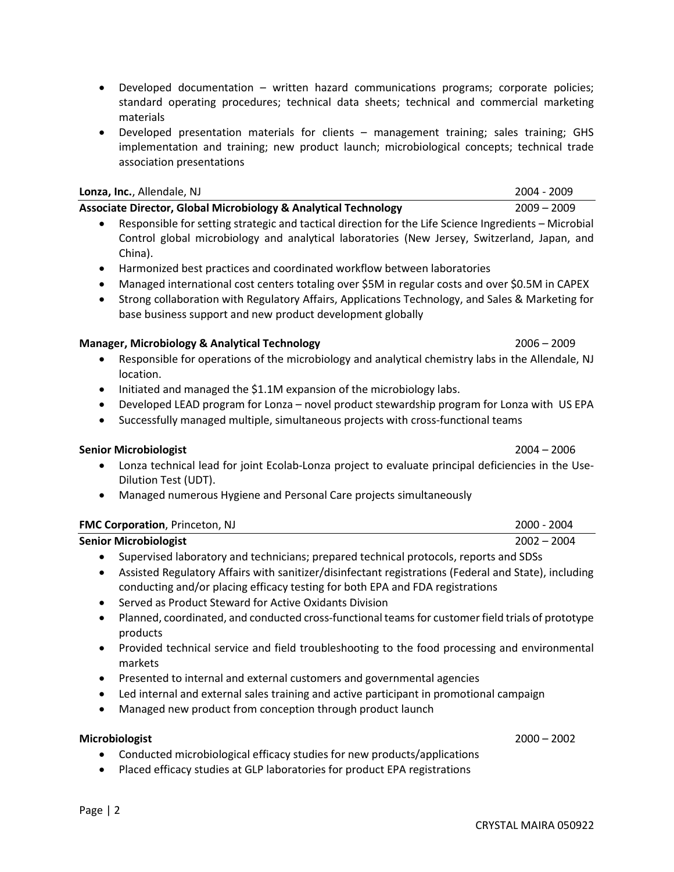- Developed documentation written hazard communications programs; corporate policies; standard operating procedures; technical data sheets; technical and commercial marketing materials
- Developed presentation materials for clients management training; sales training; GHS implementation and training; new product launch; microbiological concepts; technical trade association presentations

| Lonza, Inc., Allendale, NJ                                      | 2004 - 2009   |
|-----------------------------------------------------------------|---------------|
| Associate Director, Global Microbiology & Analytical Technology | $2009 - 2009$ |

- Responsible for setting strategic and tactical direction for the Life Science Ingredients Microbial Control global microbiology and analytical laboratories (New Jersey, Switzerland, Japan, and China).
- Harmonized best practices and coordinated workflow between laboratories
- Managed international cost centers totaling over \$5M in regular costs and over \$0.5M in CAPEX
- Strong collaboration with Regulatory Affairs, Applications Technology, and Sales & Marketing for base business support and new product development globally

#### Manager, Microbiology & Analytical Technology 2006 – 2009

- Responsible for operations of the microbiology and analytical chemistry labs in the Allendale, NJ location.
- Initiated and managed the \$1.1M expansion of the microbiology labs.
- Developed LEAD program for Lonza novel product stewardship program for Lonza with US EPA
- Successfully managed multiple, simultaneous projects with cross-functional teams

#### Senior Microbiologist 2004 – 2006

- Lonza technical lead for joint Ecolab-Lonza project to evaluate principal deficiencies in the Use-Dilution Test (UDT).
- Managed numerous Hygiene and Personal Care projects simultaneously

| <b>FMC Corporation, Princeton, NJ</b> | 2000 - 2004   |
|---------------------------------------|---------------|
| <b>Senior Microbiologist</b>          | $2002 - 2004$ |

- Supervised laboratory and technicians; prepared technical protocols, reports and SDSs
- Assisted Regulatory Affairs with sanitizer/disinfectant registrations (Federal and State), including conducting and/or placing efficacy testing for both EPA and FDA registrations
- Served as Product Steward for Active Oxidants Division
- Planned, coordinated, and conducted cross-functional teams for customer field trials of prototype products
- Provided technical service and field troubleshooting to the food processing and environmental markets
- Presented to internal and external customers and governmental agencies
- Led internal and external sales training and active participant in promotional campaign
- Managed new product from conception through product launch

#### Microbiologist 2000 – 2002

Page | 2

- Conducted microbiological efficacy studies for new products/applications
- Placed efficacy studies at GLP laboratories for product EPA registrations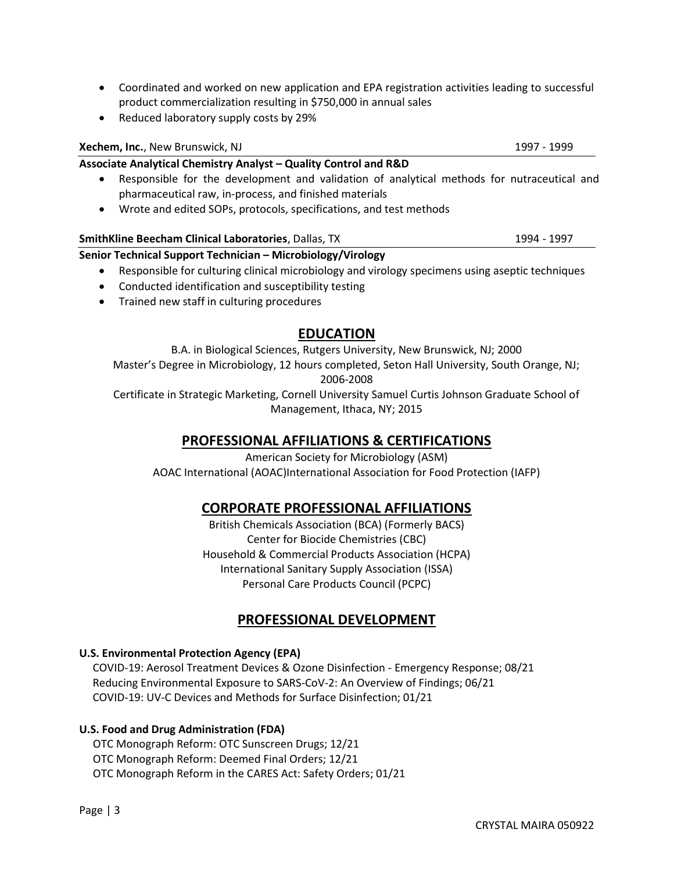- Coordinated and worked on new application and EPA registration activities leading to successful product commercialization resulting in \$750,000 in annual sales
- Reduced laboratory supply costs by 29%

### **Xechem, Inc.**, New Brunswick, NJ 1997 - 1999

### Associate Analytical Chemistry Analyst – Quality Control and R&D

- Responsible for the development and validation of analytical methods for nutraceutical and pharmaceutical raw, in-process, and finished materials
- Wrote and edited SOPs, protocols, specifications, and test methods

# SmithKline Beecham Clinical Laboratories, Dallas, TX 1994 - 1994 - 1997

# Senior Technical Support Technician – Microbiology/Virology

- Responsible for culturing clinical microbiology and virology specimens using aseptic techniques
- Conducted identification and susceptibility testing
- Trained new staff in culturing procedures

# EDUCATION

B.A. in Biological Sciences, Rutgers University, New Brunswick, NJ; 2000 Master's Degree in Microbiology, 12 hours completed, Seton Hall University, South Orange, NJ; 2006-2008

Certificate in Strategic Marketing, Cornell University Samuel Curtis Johnson Graduate School of Management, Ithaca, NY; 2015

# PROFESSIONAL AFFILIATIONS & CERTIFICATIONS

American Society for Microbiology (ASM) AOAC International (AOAC)International Association for Food Protection (IAFP)

# CORPORATE PROFESSIONAL AFFILIATIONS

British Chemicals Association (BCA) (Formerly BACS) Center for Biocide Chemistries (CBC) Household & Commercial Products Association (HCPA) International Sanitary Supply Association (ISSA) Personal Care Products Council (PCPC)

# PROFESSIONAL DEVELOPMENT

### U.S. Environmental Protection Agency (EPA)

COVID-19: Aerosol Treatment Devices & Ozone Disinfection - Emergency Response; 08/21 Reducing Environmental Exposure to SARS-CoV-2: An Overview of Findings; 06/21 COVID-19: UV-C Devices and Methods for Surface Disinfection; 01/21

### U.S. Food and Drug Administration (FDA)

 OTC Monograph Reform: OTC Sunscreen Drugs; 12/21 OTC Monograph Reform: Deemed Final Orders; 12/21 OTC Monograph Reform in the CARES Act: Safety Orders; 01/21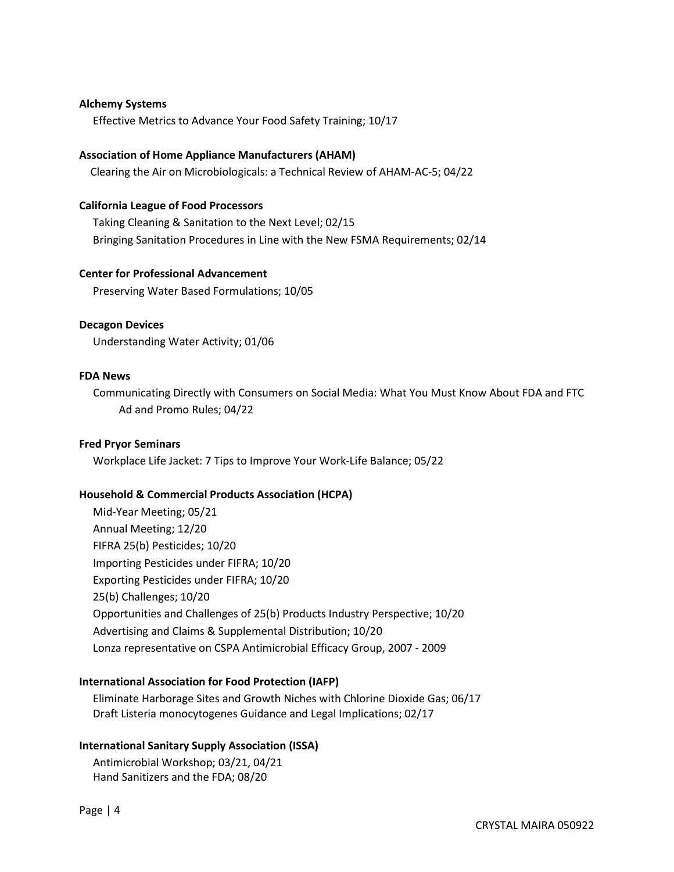#### Alchemy Systems

Effective Metrics to Advance Your Food Safety Training; 10/17

#### Association of Home Appliance Manufacturers (AHAM)

Clearing the Air on Microbiologicals: a Technical Review of AHAM-AC-5; 04/22

#### California League of Food Processors

 Taking Cleaning & Sanitation to the Next Level; 02/15 Bringing Sanitation Procedures in Line with the New FSMA Requirements; 02/14

#### Center for Professional Advancement

Preserving Water Based Formulations; 10/05

#### Decagon Devices

Understanding Water Activity; 01/06

#### FDA News

 Communicating Directly with Consumers on Social Media: What You Must Know About FDA and FTC Ad and Promo Rules; 04/22

#### Fred Pryor Seminars

Workplace Life Jacket: 7 Tips to Improve Your Work-Life Balance; 05/22

#### Household & Commercial Products Association (HCPA)

 Mid-Year Meeting; 05/21 Annual Meeting; 12/20 FIFRA 25(b) Pesticides; 10/20 Importing Pesticides under FIFRA; 10/20 Exporting Pesticides under FIFRA; 10/20 25(b) Challenges; 10/20 Opportunities and Challenges of 25(b) Products Industry Perspective; 10/20 Advertising and Claims & Supplemental Distribution; 10/20 Lonza representative on CSPA Antimicrobial Efficacy Group, 2007 - 2009

#### International Association for Food Protection (IAFP)

 Eliminate Harborage Sites and Growth Niches with Chlorine Dioxide Gas; 06/17 Draft Listeria monocytogenes Guidance and Legal Implications; 02/17

#### International Sanitary Supply Association (ISSA)

 Antimicrobial Workshop; 03/21, 04/21 Hand Sanitizers and the FDA; 08/20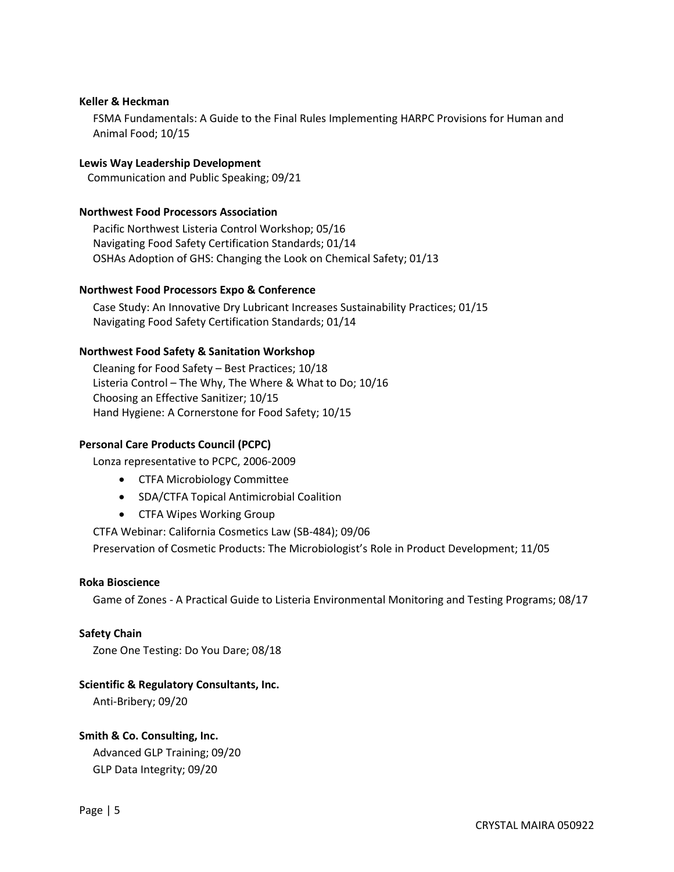#### Keller & Heckman

 FSMA Fundamentals: A Guide to the Final Rules Implementing HARPC Provisions for Human and Animal Food; 10/15

#### Lewis Way Leadership Development

Communication and Public Speaking; 09/21

#### Northwest Food Processors Association

 Pacific Northwest Listeria Control Workshop; 05/16 Navigating Food Safety Certification Standards; 01/14 OSHAs Adoption of GHS: Changing the Look on Chemical Safety; 01/13

#### Northwest Food Processors Expo & Conference

 Case Study: An Innovative Dry Lubricant Increases Sustainability Practices; 01/15 Navigating Food Safety Certification Standards; 01/14

#### Northwest Food Safety & Sanitation Workshop

 Cleaning for Food Safety – Best Practices; 10/18 Listeria Control – The Why, The Where & What to Do; 10/16 Choosing an Effective Sanitizer; 10/15 Hand Hygiene: A Cornerstone for Food Safety; 10/15

#### Personal Care Products Council (PCPC)

Lonza representative to PCPC, 2006-2009

- CTFA Microbiology Committee
- SDA/CTFA Topical Antimicrobial Coalition
- CTFA Wipes Working Group

CTFA Webinar: California Cosmetics Law (SB-484); 09/06

Preservation of Cosmetic Products: The Microbiologist's Role in Product Development; 11/05

#### Roka Bioscience

Game of Zones - A Practical Guide to Listeria Environmental Monitoring and Testing Programs; 08/17

#### Safety Chain

Zone One Testing: Do You Dare; 08/18

#### Scientific & Regulatory Consultants, Inc.

Anti-Bribery; 09/20

### Smith & Co. Consulting, Inc.

 Advanced GLP Training; 09/20 GLP Data Integrity; 09/20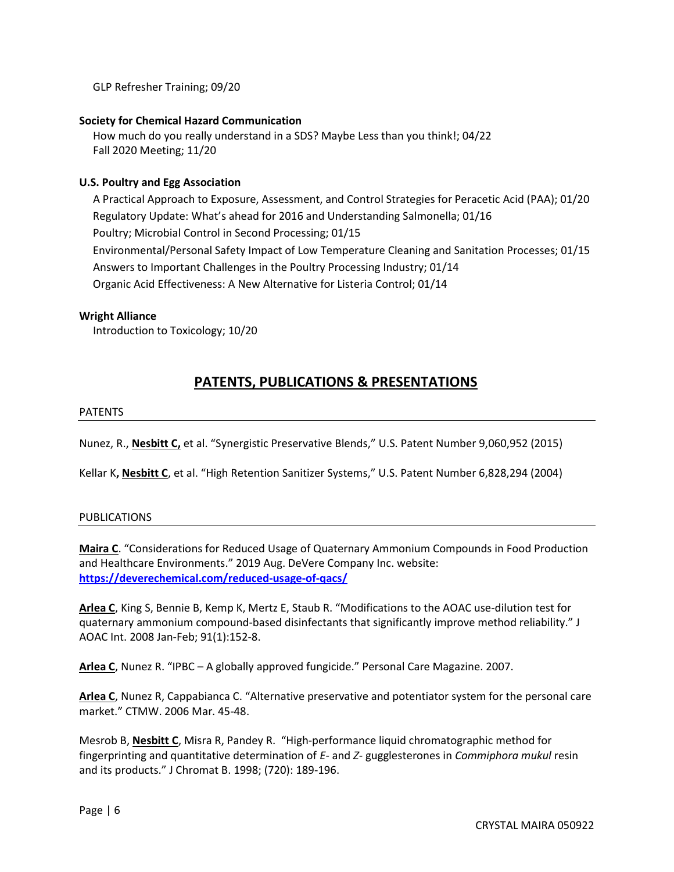GLP Refresher Training; 09/20

### Society for Chemical Hazard Communication

 How much do you really understand in a SDS? Maybe Less than you think!; 04/22 Fall 2020 Meeting; 11/20

### U.S. Poultry and Egg Association

 A Practical Approach to Exposure, Assessment, and Control Strategies for Peracetic Acid (PAA); 01/20 Regulatory Update: What's ahead for 2016 and Understanding Salmonella; 01/16 Poultry; Microbial Control in Second Processing; 01/15 Environmental/Personal Safety Impact of Low Temperature Cleaning and Sanitation Processes; 01/15 Answers to Important Challenges in the Poultry Processing Industry; 01/14 Organic Acid Effectiveness: A New Alternative for Listeria Control; 01/14

### Wright Alliance

Introduction to Toxicology; 10/20

# PATENTS, PUBLICATIONS & PRESENTATIONS

#### PATENTS

Nunez, R., Nesbitt C, et al. "Synergistic Preservative Blends," U.S. Patent Number 9,060,952 (2015)

Kellar K, Nesbitt C, et al. "High Retention Sanitizer Systems," U.S. Patent Number 6,828,294 (2004)

### PUBLICATIONS

Maira C. "Considerations for Reduced Usage of Quaternary Ammonium Compounds in Food Production and Healthcare Environments." 2019 Aug. DeVere Company Inc. website: https://deverechemical.com/reduced-usage-of-qacs/

Arlea C, King S, Bennie B, Kemp K, Mertz E, Staub R. "Modifications to the AOAC use-dilution test for quaternary ammonium compound-based disinfectants that significantly improve method reliability." J AOAC Int. 2008 Jan-Feb; 91(1):152-8.

Arlea C, Nunez R. "IPBC – A globally approved fungicide." Personal Care Magazine. 2007.

Arlea C, Nunez R, Cappabianca C. "Alternative preservative and potentiator system for the personal care market." CTMW. 2006 Mar. 45-48.

Mesrob B, Nesbitt C, Misra R, Pandey R. "High-performance liquid chromatographic method for fingerprinting and quantitative determination of E- and Z- gugglesterones in Commiphora mukul resin and its products." J Chromat B. 1998; (720): 189-196.